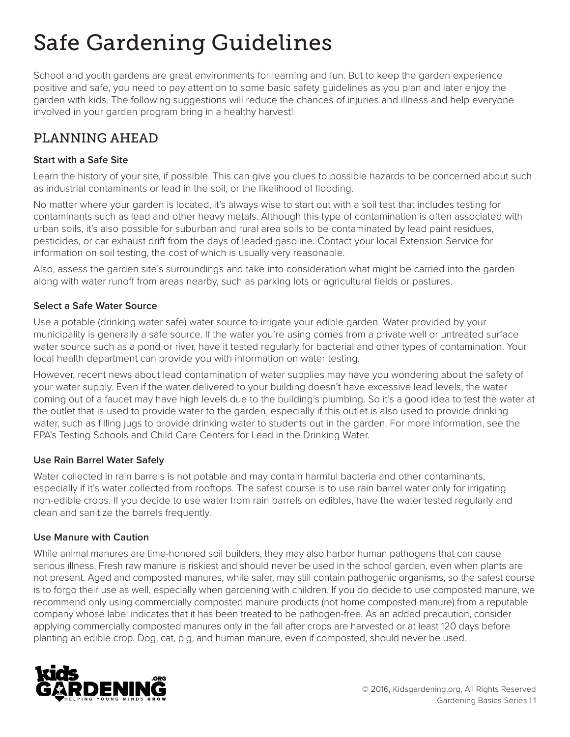# Safe Gardening Guidelines

School and youth gardens are great environments for learning and fun. But to keep the garden experience positive and safe, you need to pay attention to some basic safety guidelines as you plan and later enjoy the garden with kids. The following suggestions will reduce the chances of injuries and illness and help everyone involved in your garden program bring in a healthy harvest!

## PLANNING AHEAD

#### **Start with a Safe Site**

Learn the history of your site, if possible. This can give you clues to possible hazards to be concerned about such as industrial contaminants or lead in the soil, or the likelihood of flooding.

No matter where your garden is located, it's always wise to start out with a soil test that includes testing for contaminants such as lead and other heavy metals. Although this type of contamination is often associated with urban soils, it's also possible for suburban and rural area soils to be contaminated by lead paint residues, pesticides, or car exhaust drift from the days of leaded gasoline. Contact your local Extension Service for information on soil testing, the cost of which is usually very reasonable.

Also, assess the garden site's surroundings and take into consideration what might be carried into the garden along with water runoff from areas nearby, such as parking lots or agricultural fields or pastures.

#### **Select a Safe Water Source**

Use a potable (drinking water safe) water source to irrigate your edible garden. Water provided by your municipality is generally a safe source. If the water you're using comes from a private well or untreated surface water source such as a pond or river, have it tested regularly for bacterial and other types of contamination. Your local health department can provide you with information on water testing.

However, recent news about lead contamination of water supplies may have you wondering about the safety of your water supply. Even if the water delivered to your building doesn't have excessive lead levels, the water coming out of a faucet may have high levels due to the building's plumbing. So it's a good idea to test the water at the outlet that is used to provide water to the garden, especially if this outlet is also used to provide drinking water, such as filling jugs to provide drinking water to students out in the garden. For more information, see the EPA's Testing Schools and Child Care Centers for Lead in the Drinking Water.

#### **Use Rain Barrel Water Safely**

Water collected in rain barrels is not potable and may contain harmful bacteria and other contaminants, especially if it's water collected from rooftops. The safest course is to use rain barrel water only for irrigating non-edible crops. If you decide to use water from rain barrels on edibles, have the water tested regularly and clean and sanitize the barrels frequently.

#### **Use Manure with Caution**

While animal manures are time-honored soil builders, they may also harbor human pathogens that can cause serious illness. Fresh raw manure is riskiest and should never be used in the school garden, even when plants are not present. Aged and composted manures, while safer, may still contain pathogenic organisms, so the safest course is to forgo their use as well, especially when gardening with children. If you do decide to use composted manure, we recommend only using commercially composted manure products (not home composted manure) from a reputable company whose label indicates that it has been treated to be pathogen-free. As an added precaution, consider applying commercially composted manures only in the fall after crops are harvested or at least 120 days before planting an edible crop. Dog, cat, pig, and human manure, even if composted, should never be used.

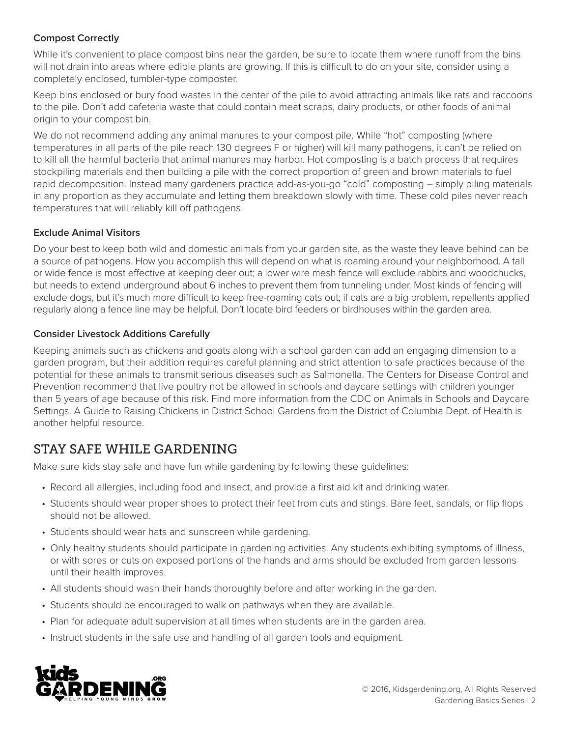#### **Compost Correctly**

While it's convenient to place compost bins near the garden, be sure to locate them where runoff from the bins will not drain into areas where edible plants are growing. If this is difficult to do on your site, consider using a completely enclosed, tumbler-type composter.

Keep bins enclosed or bury food wastes in the center of the pile to avoid attracting animals like rats and raccoons to the pile. Don't add cafeteria waste that could contain meat scraps, dairy products, or other foods of animal origin to your compost bin.

We do not recommend adding any animal manures to your compost pile. While "hot" composting (where temperatures in all parts of the pile reach 130 degrees F or higher) will kill many pathogens, it can't be relied on to kill all the harmful bacteria that animal manures may harbor. Hot composting is a batch process that requires stockpiling materials and then building a pile with the correct proportion of green and brown materials to fuel rapid decomposition. Instead many gardeners practice add-as-you-go "cold" composting – simply piling materials in any proportion as they accumulate and letting them breakdown slowly with time. These cold piles never reach temperatures that will reliably kill off pathogens.

#### **Exclude Animal Visitors**

Do your best to keep both wild and domestic animals from your garden site, as the waste they leave behind can be a source of pathogens. How you accomplish this will depend on what is roaming around your neighborhood. A tall or wide fence is most effective at keeping deer out; a lower wire mesh fence will exclude rabbits and woodchucks, but needs to extend underground about 6 inches to prevent them from tunneling under. Most kinds of fencing will exclude dogs, but it's much more difficult to keep free-roaming cats out; if cats are a big problem, repellents applied regularly along a fence line may be helpful. Don't locate bird feeders or birdhouses within the garden area.

#### **Consider Livestock Additions Carefully**

Keeping animals such as chickens and goats along with a school garden can add an engaging dimension to a garden program, but their addition requires careful planning and strict attention to safe practices because of the potential for these animals to transmit serious diseases such as Salmonella. The Centers for Disease Control and Prevention recommend that live poultry not be allowed in schools and daycare settings with children younger than 5 years of age because of this risk. Find more information from the CDC on Animals in Schools and Daycare Settings. A Guide to Raising Chickens in District School Gardens from the District of Columbia Dept. of Health is another helpful resource.

### STAY SAFE WHILE GARDENING

Make sure kids stay safe and have fun while gardening by following these guidelines:

- Record all allergies, including food and insect, and provide a first aid kit and drinking water.
- Students should wear proper shoes to protect their feet from cuts and stings. Bare feet, sandals, or flip flops should not be allowed.
- Students should wear hats and sunscreen while gardening.
- Only healthy students should participate in gardening activities. Any students exhibiting symptoms of illness, or with sores or cuts on exposed portions of the hands and arms should be excluded from garden lessons until their health improves.
- All students should wash their hands thoroughly before and after working in the garden.
- Students should be encouraged to walk on pathways when they are available.
- Plan for adequate adult supervision at all times when students are in the garden area.
- Instruct students in the safe use and handling of all garden tools and equipment.